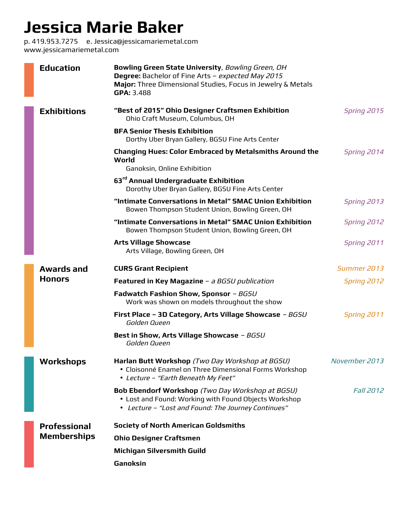## **Jessica Marie Baker**

p. 419.953.7275 e. Jessica@jessicamariemetal.com www.jessicamariemetal.com

|  | <b>Education</b>                          | Bowling Green State University, Bowling Green, OH<br>Degree: Bachelor of Fine Arts - expected May 2015<br>Major: Three Dimensional Studies, Focus in Jewelry & Metals<br>GPA: 3.488 |                    |
|--|-------------------------------------------|-------------------------------------------------------------------------------------------------------------------------------------------------------------------------------------|--------------------|
|  | <b>Exhibitions</b>                        | "Best of 2015" Ohio Designer Craftsmen Exhibition<br>Ohio Craft Museum, Columbus, OH                                                                                                | <b>Spring 2015</b> |
|  |                                           | <b>BFA Senior Thesis Exhibition</b><br>Dorthy Uber Bryan Gallery, BGSU Fine Arts Center                                                                                             |                    |
|  |                                           | <b>Changing Hues: Color Embraced by Metalsmiths Around the</b><br>World                                                                                                             | Spring 2014        |
|  |                                           | Ganoksin, Online Exhibition<br>63 <sup>rd</sup> Annual Undergraduate Exhibition<br>Dorothy Uber Bryan Gallery, BGSU Fine Arts Center                                                |                    |
|  |                                           | "Intimate Conversations in Metal" SMAC Union Exhibition<br>Bowen Thompson Student Union, Bowling Green, OH                                                                          | Spring 2013        |
|  |                                           | "Intimate Conversations in Metal" SMAC Union Exhibition<br>Bowen Thompson Student Union, Bowling Green, OH                                                                          | Spring 2012        |
|  |                                           | <b>Arts Village Showcase</b><br>Arts Village, Bowling Green, OH                                                                                                                     | Spring 2011        |
|  | Awards and                                | <b>CURS Grant Recipient</b>                                                                                                                                                         | Summer 2013        |
|  | <b>Honors</b>                             | Featured in Key Magazine - a BGSU publication                                                                                                                                       | <b>Spring 2012</b> |
|  |                                           | Fadwatch Fashion Show, Sponsor - BGSU<br>Work was shown on models throughout the show                                                                                               |                    |
|  |                                           | First Place - 3D Category, Arts Village Showcase - BGSU<br>Golden Queen                                                                                                             | <b>Spring 2011</b> |
|  |                                           | Best in Show, Arts Village Showcase - BGSU<br>Golden Queen                                                                                                                          |                    |
|  | <b>Workshops</b>                          | Harlan Butt Workshop (Two Day Workshop at BGSU)<br>· Cloisonné Enamel on Three Dimensional Forms Workshop<br>• Lecture - "Earth Beneath My Feet"                                    | November 2013      |
|  |                                           | <b>Bob Ebendorf Workshop</b> (Two Day Workshop at BGSU)<br>• Lost and Found: Working with Found Objects Workshop<br>• Lecture - "Lost and Found: The Journey Continues"             | <b>Fall 2012</b>   |
|  | <b>Professional</b><br><b>Memberships</b> | <b>Society of North American Goldsmiths</b>                                                                                                                                         |                    |
|  |                                           | <b>Ohio Designer Craftsmen</b>                                                                                                                                                      |                    |
|  |                                           | <b>Michigan Silversmith Guild</b>                                                                                                                                                   |                    |
|  |                                           | Ganoksin                                                                                                                                                                            |                    |